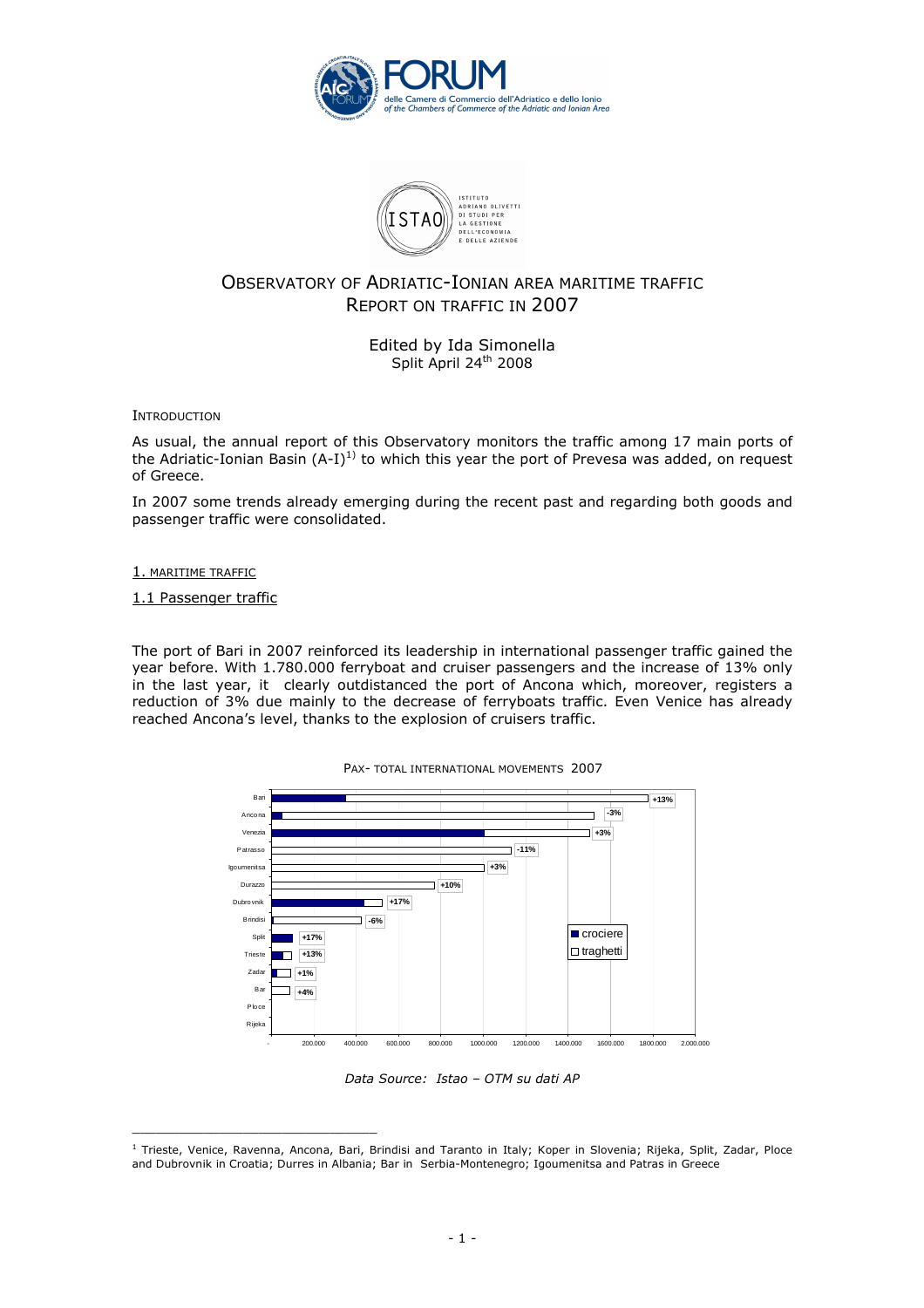



# OBSERVATORY OF ADRIATIC-IONIAN AREA MARITIME TRAFFIC REPORT ON TRAFFIC IN 2007

Edited by Ida Simonella Split April 24<sup>th</sup> 2008

**INTRODUCTION** 

As usual, the annual report of this Observatory monitors the traffic among 17 main ports of the Adriatic-Ionian Basin  $(A-I)^{1}$  to which this year the port of Prevesa was added, on request of Greece.

In 2007 some trends already emerging during the recent past and regarding both goods and passenger traffic were consolidated.

#### 1. MARITIME TRAFFIC

1.1 Passenger traffic

\_\_\_\_\_\_\_\_\_\_\_\_\_\_\_\_\_\_\_\_\_\_\_\_\_\_\_\_\_\_\_

The port of Bari in 2007 reinforced its leadership in international passenger traffic gained the year before. With 1.780.000 ferryboat and cruiser passengers and the increase of 13% only in the last year, it clearly outdistanced the port of Ancona which, moreover, registers a reduction of 3% due mainly to the decrease of ferryboats traffic. Even Venice has already reached Ancona's level, thanks to the explosion of cruisers traffic.



Data Source: Istao – OTM su dati AP

<sup>&</sup>lt;sup>1</sup> Trieste, Venice, Ravenna, Ancona, Bari, Brindisi and Taranto in Italy; Koper in Slovenia; Rijeka, Split, Zadar, Ploce and Dubrovnik in Croatia; Durres in Albania; Bar in Serbia-Montenegro; Igoumenitsa and Patras in Greece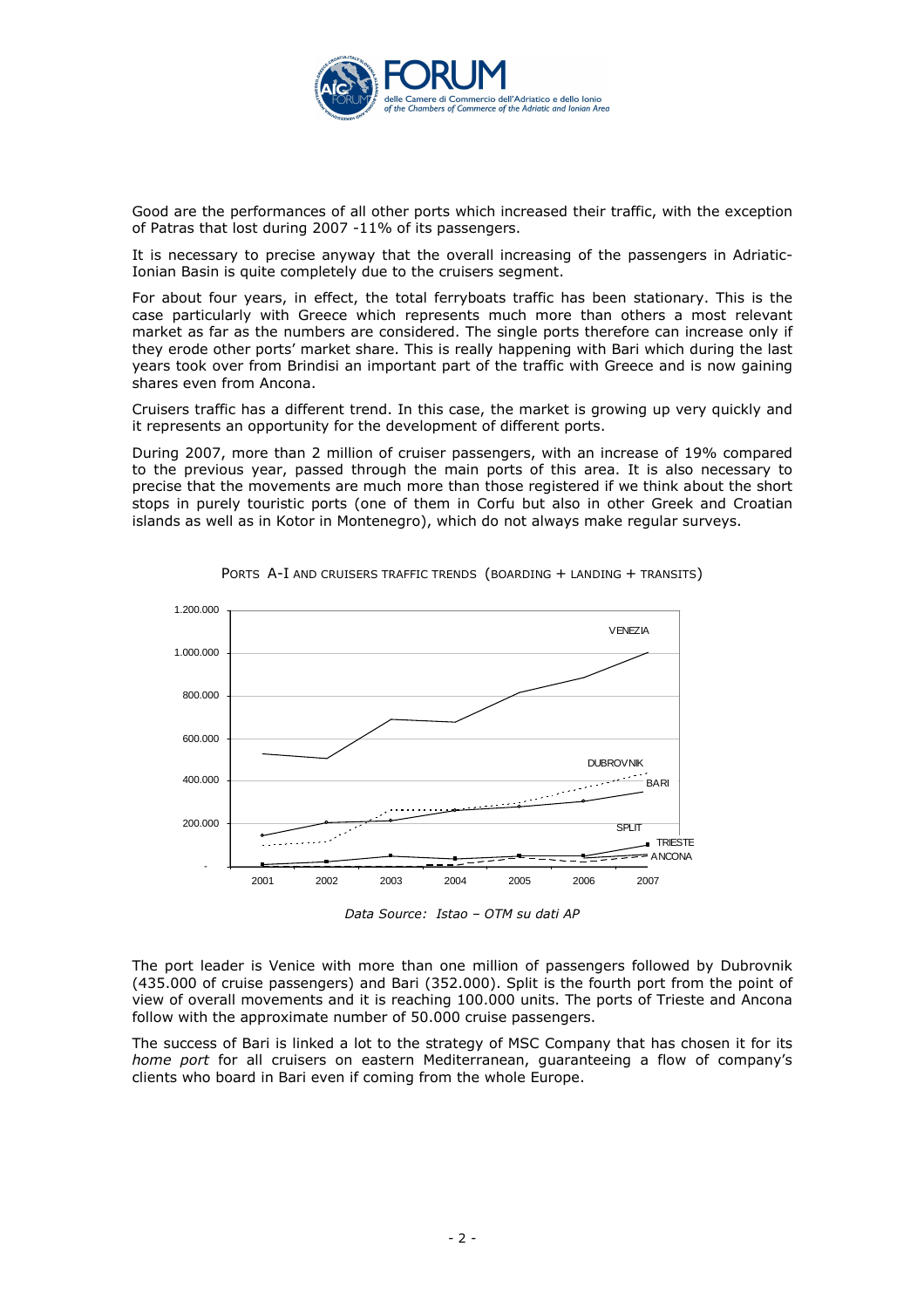

Good are the performances of all other ports which increased their traffic, with the exception of Patras that lost during 2007 -11% of its passengers.

It is necessary to precise anyway that the overall increasing of the passengers in Adriatic-Ionian Basin is quite completely due to the cruisers segment.

For about four years, in effect, the total ferryboats traffic has been stationary. This is the case particularly with Greece which represents much more than others a most relevant market as far as the numbers are considered. The single ports therefore can increase only if they erode other ports' market share. This is really happening with Bari which during the last years took over from Brindisi an important part of the traffic with Greece and is now gaining shares even from Ancona.

Cruisers traffic has a different trend. In this case, the market is growing up very quickly and it represents an opportunity for the development of different ports.

During 2007, more than 2 million of cruiser passengers, with an increase of 19% compared to the previous year, passed through the main ports of this area. It is also necessary to precise that the movements are much more than those registered if we think about the short stops in purely touristic ports (one of them in Corfu but also in other Greek and Croatian islands as well as in Kotor in Montenegro), which do not always make regular surveys.



PORTS A-I AND CRUISERS TRAFFIC TRENDS (BOARDING + LANDING + TRANSITS)

Data Source: Istao – OTM su dati AP

The port leader is Venice with more than one million of passengers followed by Dubrovnik (435.000 of cruise passengers) and Bari (352.000). Split is the fourth port from the point of view of overall movements and it is reaching 100.000 units. The ports of Trieste and Ancona follow with the approximate number of 50.000 cruise passengers.

The success of Bari is linked a lot to the strategy of MSC Company that has chosen it for its home port for all cruisers on eastern Mediterranean, guaranteeing a flow of company's clients who board in Bari even if coming from the whole Europe.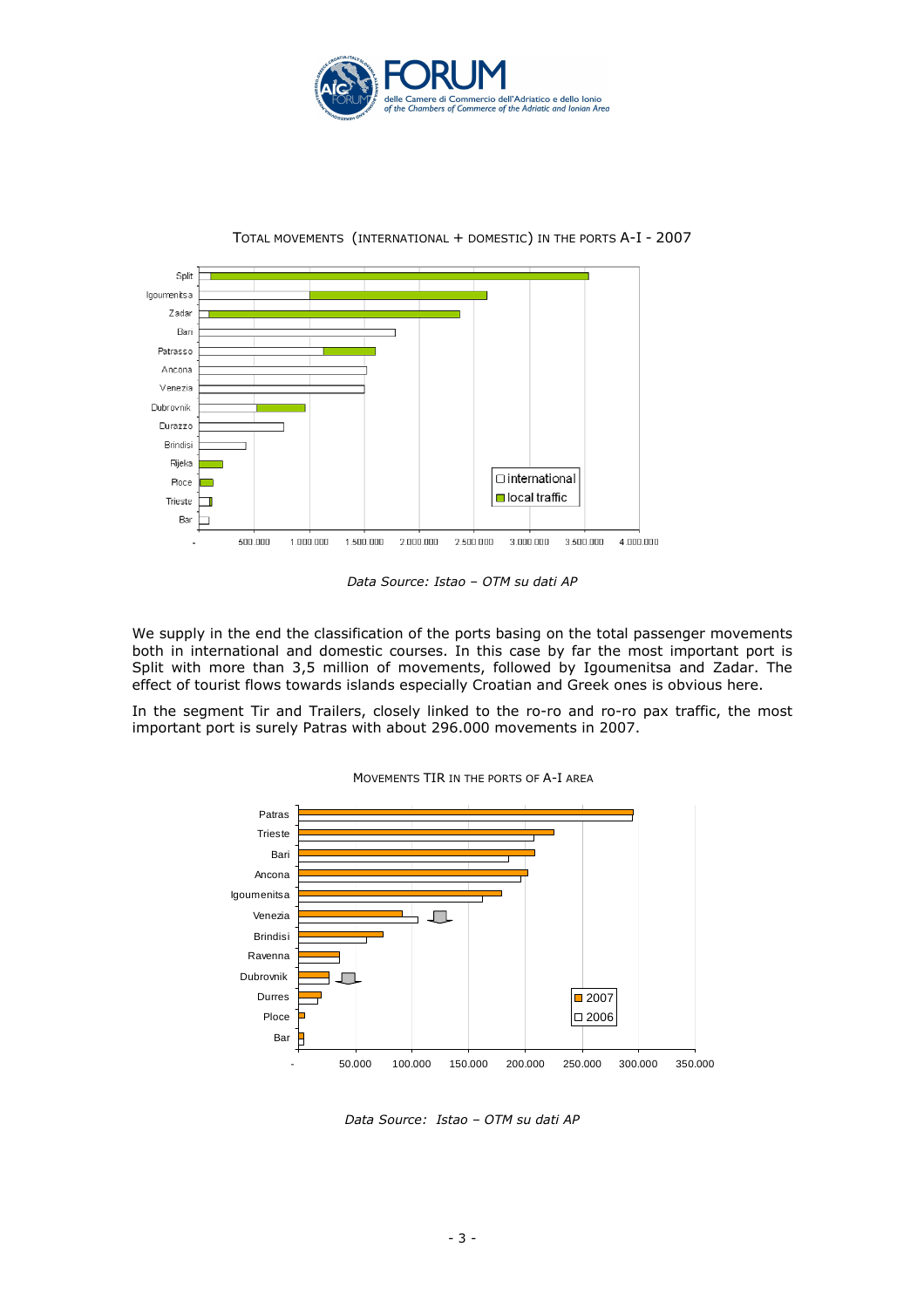



TOTAL MOVEMENTS (INTERNATIONAL + DOMESTIC) IN THE PORTS A-I - 2007

Data Source: Istao – OTM su dati AP

We supply in the end the classification of the ports basing on the total passenger movements both in international and domestic courses. In this case by far the most important port is Split with more than 3,5 million of movements, followed by Igoumenitsa and Zadar. The effect of tourist flows towards islands especially Croatian and Greek ones is obvious here.

In the segment Tir and Trailers, closely linked to the ro-ro and ro-ro pax traffic, the most important port is surely Patras with about 296.000 movements in 2007.



MOVEMENTS TIR IN THE PORTS OF A-I AREA

Data Source: Istao – OTM su dati AP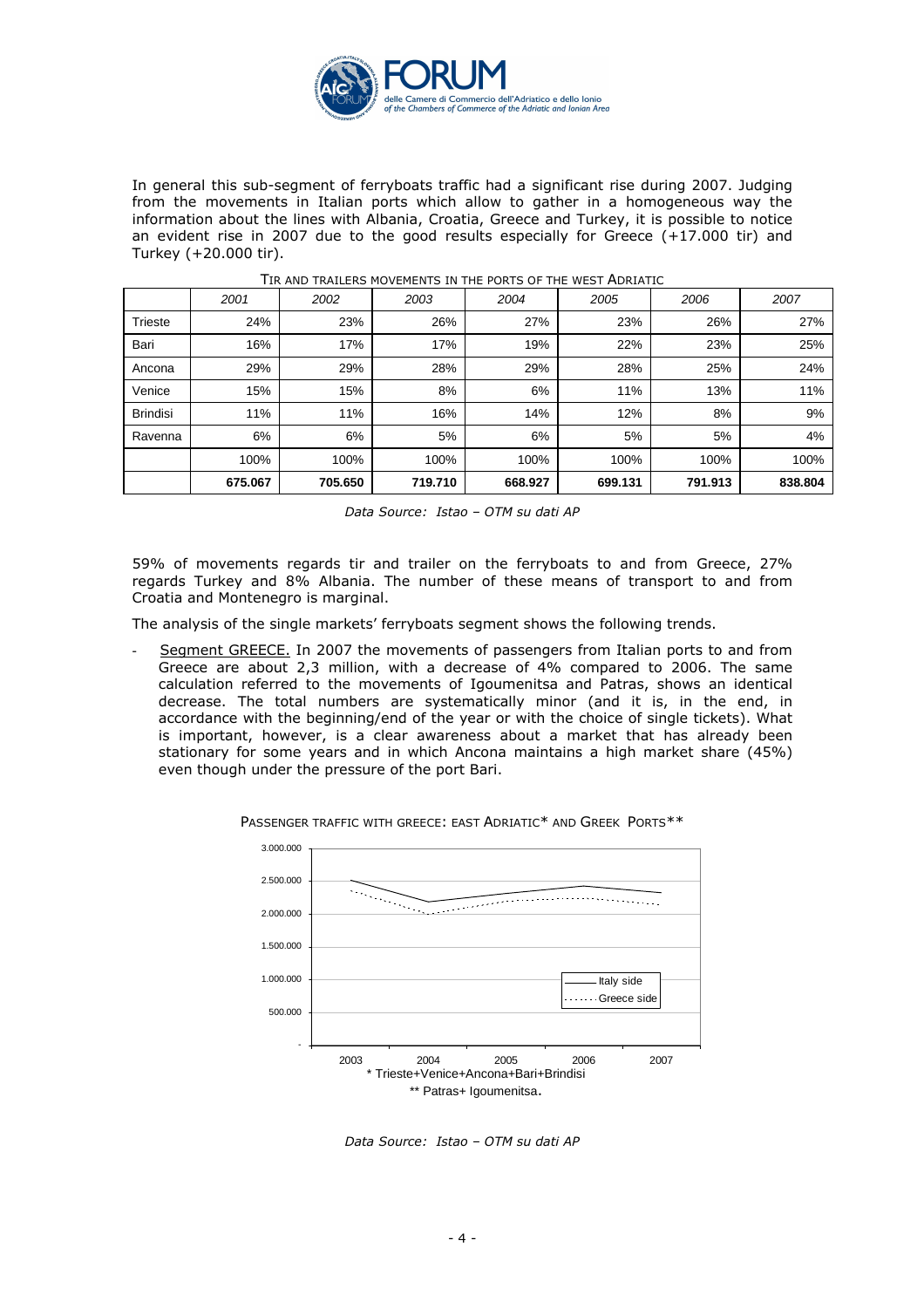

In general this sub-segment of ferryboats traffic had a significant rise during 2007. Judging from the movements in Italian ports which allow to gather in a homogeneous way the information about the lines with Albania, Croatia, Greece and Turkey, it is possible to notice an evident rise in 2007 due to the good results especially for Greece (+17.000 tir) and Turkey (+20.000 tir).

|                 | 2001    | 2002    | 2003    | 2004    | 2005    | 2006    | 2007    |
|-----------------|---------|---------|---------|---------|---------|---------|---------|
| <b>Trieste</b>  | 24%     | 23%     | 26%     | 27%     | 23%     | 26%     | 27%     |
| Bari            | 16%     | 17%     | 17%     | 19%     | 22%     | 23%     | 25%     |
| Ancona          | 29%     | 29%     | 28%     | 29%     | 28%     | 25%     | 24%     |
| Venice          | 15%     | 15%     | 8%      | 6%      | 11%     | 13%     | 11%     |
| <b>Brindisi</b> | 11%     | 11%     | 16%     | 14%     | 12%     | 8%      | 9%      |
| Ravenna         | 6%      | 6%      | 5%      | 6%      | 5%      | 5%      | 4%      |
|                 | 100%    | 100%    | 100%    | 100%    | 100%    | 100%    | 100%    |
|                 | 675.067 | 705.650 | 719.710 | 668.927 | 699.131 | 791.913 | 838.804 |

#### TIR AND TRAILERS MOVEMENTS IN THE PORTS OF THE WEST ADRIATIC

Data Source: Istao – OTM su dati AP

59% of movements regards tir and trailer on the ferryboats to and from Greece, 27% regards Turkey and 8% Albania. The number of these means of transport to and from Croatia and Montenegro is marginal.

The analysis of the single markets' ferryboats segment shows the following trends.

Segment GREECE. In 2007 the movements of passengers from Italian ports to and from Greece are about 2,3 million, with a decrease of 4% compared to 2006. The same calculation referred to the movements of Igoumenitsa and Patras, shows an identical decrease. The total numbers are systematically minor (and it is, in the end, in accordance with the beginning/end of the year or with the choice of single tickets). What is important, however, is a clear awareness about a market that has already been stationary for some years and in which Ancona maintains a high market share (45%) even though under the pressure of the port Bari.



PASSENGER TRAFFIC WITH GREECE: EAST ADRIATIC\* AND GREEK PORTS\*\*

Data Source: Istao – OTM su dati AP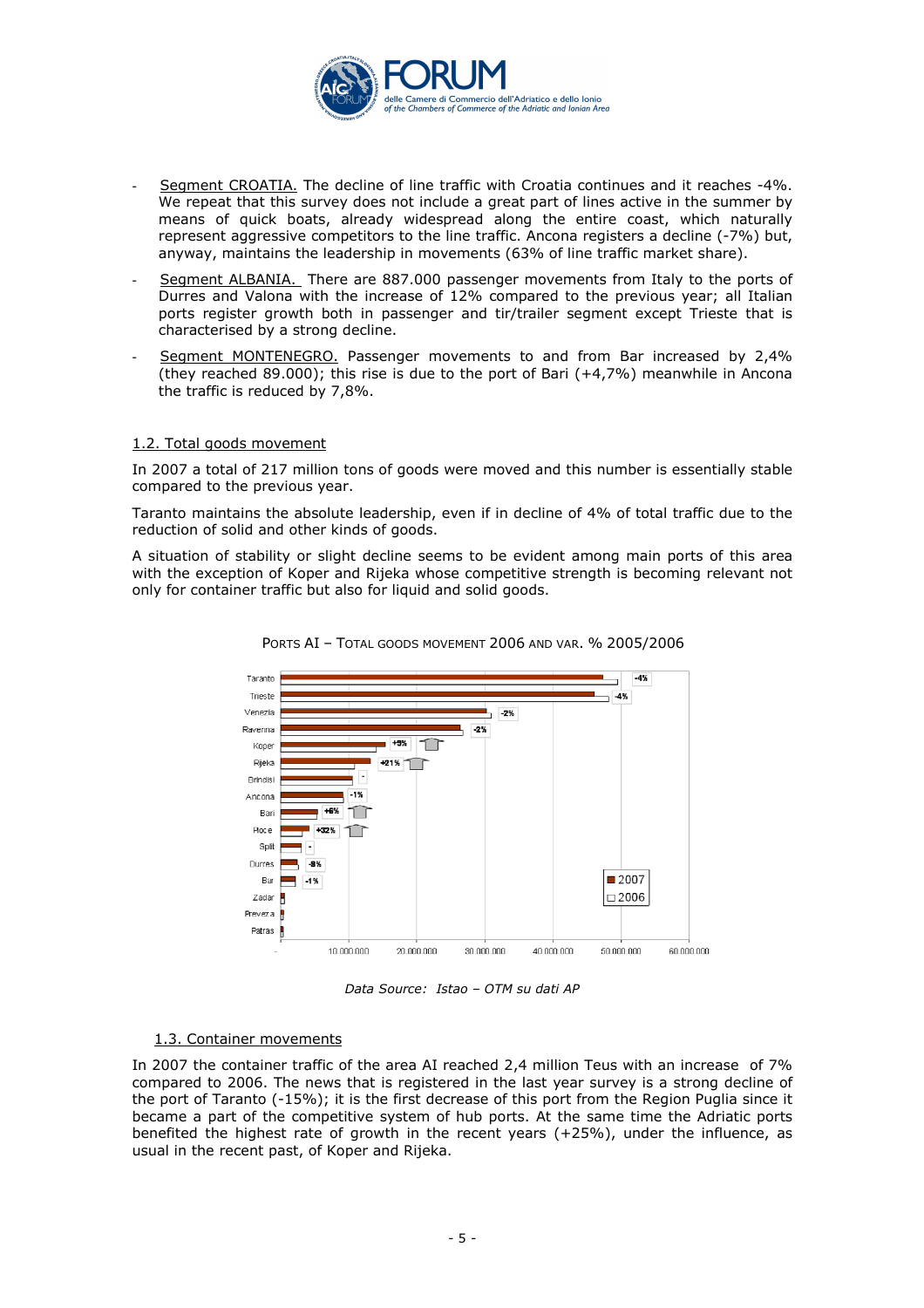

- Segment CROATIA. The decline of line traffic with Croatia continues and it reaches -4%. We repeat that this survey does not include a great part of lines active in the summer by means of quick boats, already widespread along the entire coast, which naturally represent aggressive competitors to the line traffic. Ancona registers a decline (-7%) but, anyway, maintains the leadership in movements (63% of line traffic market share).
- Segment ALBANIA. There are 887.000 passenger movements from Italy to the ports of Durres and Valona with the increase of 12% compared to the previous year; all Italian ports register growth both in passenger and tir/trailer segment except Trieste that is characterised by a strong decline.
- Segment MONTENEGRO. Passenger movements to and from Bar increased by 2,4% (they reached 89.000); this rise is due to the port of Bari (+4,7%) meanwhile in Ancona the traffic is reduced by 7,8%.

## 1.2. Total goods movement

In 2007 a total of 217 million tons of goods were moved and this number is essentially stable compared to the previous year.

Taranto maintains the absolute leadership, even if in decline of 4% of total traffic due to the reduction of solid and other kinds of goods.

A situation of stability or slight decline seems to be evident among main ports of this area with the exception of Koper and Rijeka whose competitive strength is becoming relevant not only for container traffic but also for liquid and solid goods.





Data Source: Istao – OTM su dati AP

## 1.3. Container movements

In 2007 the container traffic of the area AI reached 2,4 million Teus with an increase of 7% compared to 2006. The news that is registered in the last year survey is a strong decline of the port of Taranto (-15%); it is the first decrease of this port from the Region Puglia since it became a part of the competitive system of hub ports. At the same time the Adriatic ports benefited the highest rate of growth in the recent years (+25%), under the influence, as usual in the recent past, of Koper and Rijeka.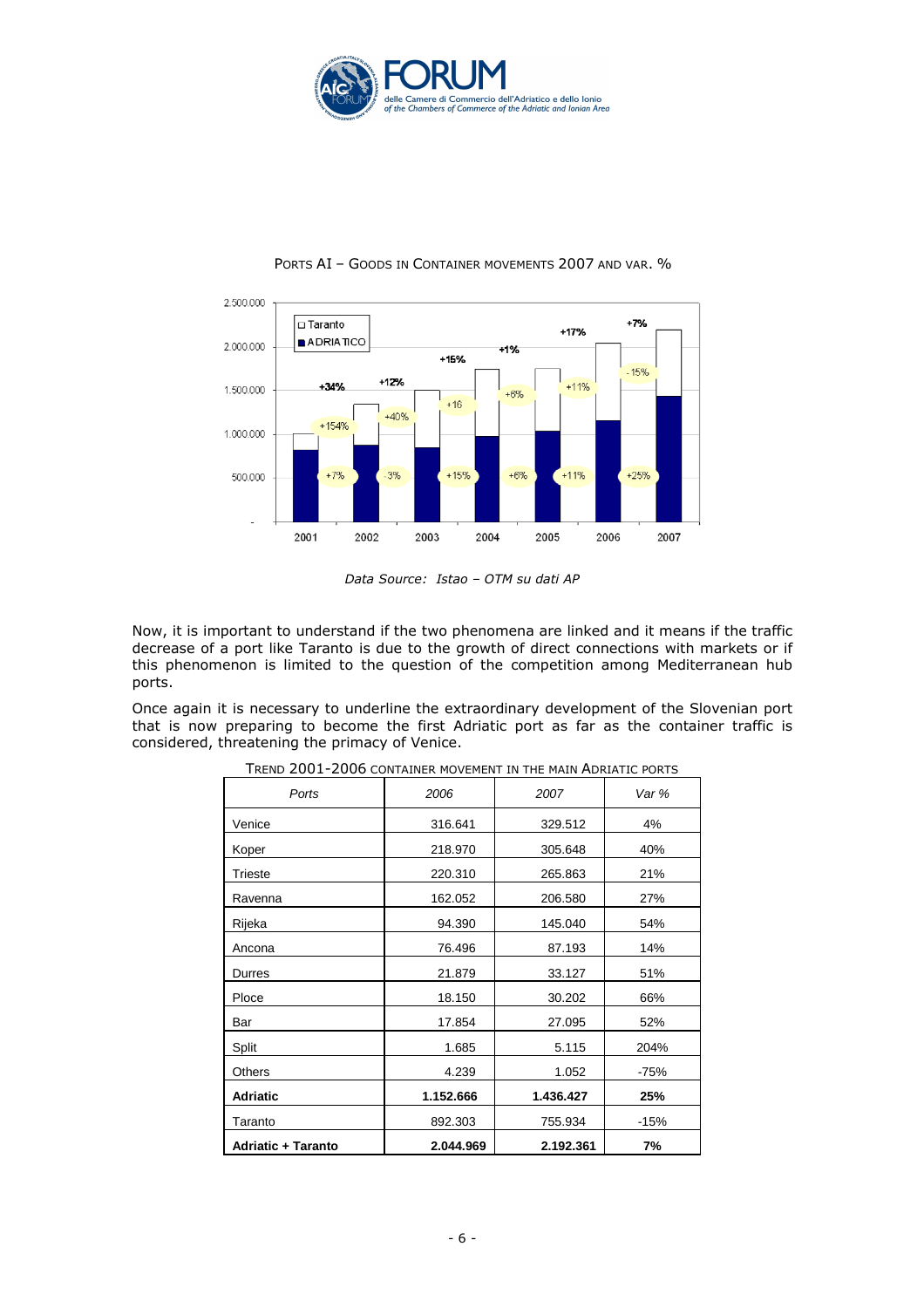



## PORTS AI - GOODS IN CONTAINER MOVEMENTS 2007 AND VAR. %

Data Source: Istao – OTM su dati AP

Now, it is important to understand if the two phenomena are linked and it means if the traffic decrease of a port like Taranto is due to the growth of direct connections with markets or if this phenomenon is limited to the question of the competition among Mediterranean hub ports.

Once again it is necessary to underline the extraordinary development of the Slovenian port that is now preparing to become the first Adriatic port as far as the container traffic is considered, threatening the primacy of Venice.

| Ports                     | 2006      | 2007      | Var %  |
|---------------------------|-----------|-----------|--------|
| Venice                    | 316.641   | 329.512   | 4%     |
| Koper                     | 218.970   | 305.648   | 40%    |
| Trieste                   | 220.310   | 265.863   | 21%    |
| Ravenna                   | 162.052   | 206.580   | 27%    |
| Rijeka                    | 94.390    | 145.040   | 54%    |
| Ancona                    | 76.496    | 87.193    | 14%    |
| Durres                    | 21.879    | 33.127    | 51%    |
| Ploce                     | 18.150    | 30.202    | 66%    |
| Bar                       | 17.854    | 27.095    | 52%    |
| Split                     | 1.685     | 5.115     | 204%   |
| <b>Others</b>             | 4.239     | 1.052     | $-75%$ |
| <b>Adriatic</b>           | 1.152.666 | 1.436.427 | 25%    |
| Taranto                   | 892.303   | 755.934   | $-15%$ |
| <b>Adriatic + Taranto</b> | 2.044.969 | 2.192.361 | 7%     |

TREND 2001-2006 CONTAINER MOVEMENT IN THE MAIN ADRIATIC PORTS